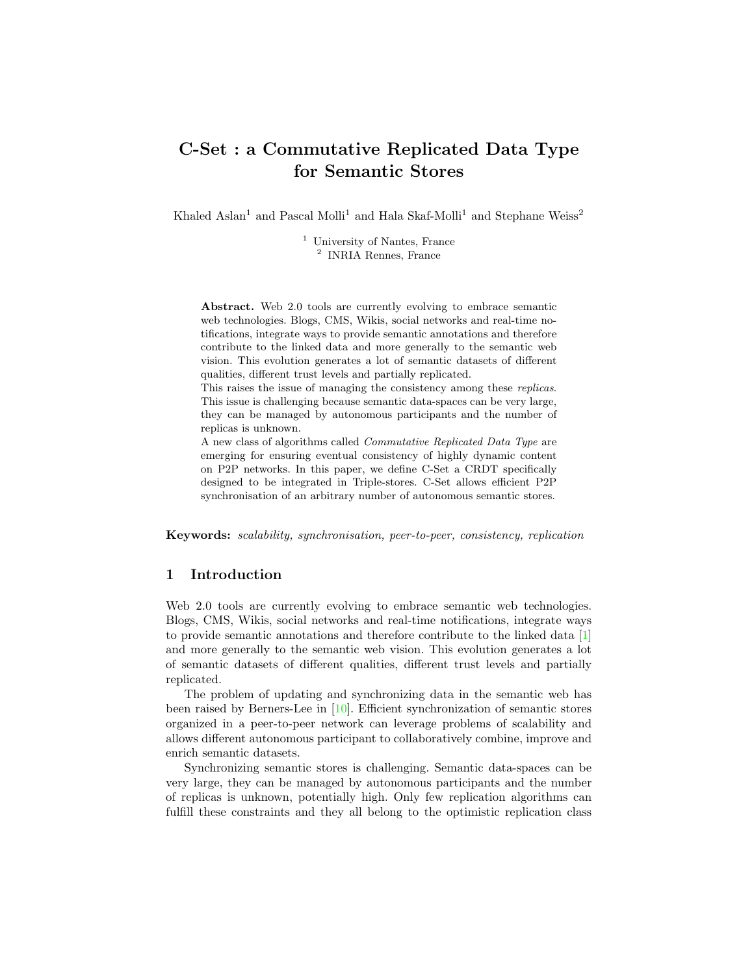# C-Set : a Commutative Replicated Data Type for Semantic Stores

 $\mathbf{K}\mathbf{h}$ aled Aslan $^1$ and Pascal $\mathbf{M}\mathbf{olli}^1$  and  $\mathbf{H}\mathbf{a}$ la Skaf-Molli $^1$  and Stephane Weiss $^2$ 

<sup>1</sup> University of Nantes, France <sup>2</sup> INRIA Rennes, France

Abstract. Web 2.0 tools are currently evolving to embrace semantic web technologies. Blogs, CMS, Wikis, social networks and real-time notifications, integrate ways to provide semantic annotations and therefore contribute to the linked data and more generally to the semantic web vision. This evolution generates a lot of semantic datasets of different qualities, different trust levels and partially replicated.

This raises the issue of managing the consistency among these replicas. This issue is challenging because semantic data-spaces can be very large, they can be managed by autonomous participants and the number of replicas is unknown.

A new class of algorithms called Commutative Replicated Data Type are emerging for ensuring eventual consistency of highly dynamic content on P2P networks. In this paper, we define C-Set a CRDT specifically designed to be integrated in Triple-stores. C-Set allows efficient P2P synchronisation of an arbitrary number of autonomous semantic stores.

Keywords: scalability, synchronisation, peer-to-peer, consistency, replication

# 1 Introduction

Web 2.0 tools are currently evolving to embrace semantic web technologies. Blogs, CMS, Wikis, social networks and real-time notifications, integrate ways to provide semantic annotations and therefore contribute to the linked data [\[1\]](#page-7-1) and more generally to the semantic web vision. This evolution generates a lot of semantic datasets of different qualities, different trust levels and partially replicated.

The problem of updating and synchronizing data in the semantic web has been raised by Berners-Lee in [\[10\]](#page-7-0). Efficient synchronization of semantic stores organized in a peer-to-peer network can leverage problems of scalability and allows different autonomous participant to collaboratively combine, improve and enrich semantic datasets.

Synchronizing semantic stores is challenging. Semantic data-spaces can be very large, they can be managed by autonomous participants and the number of replicas is unknown, potentially high. Only few replication algorithms can fulfill these constraints and they all belong to the optimistic replication class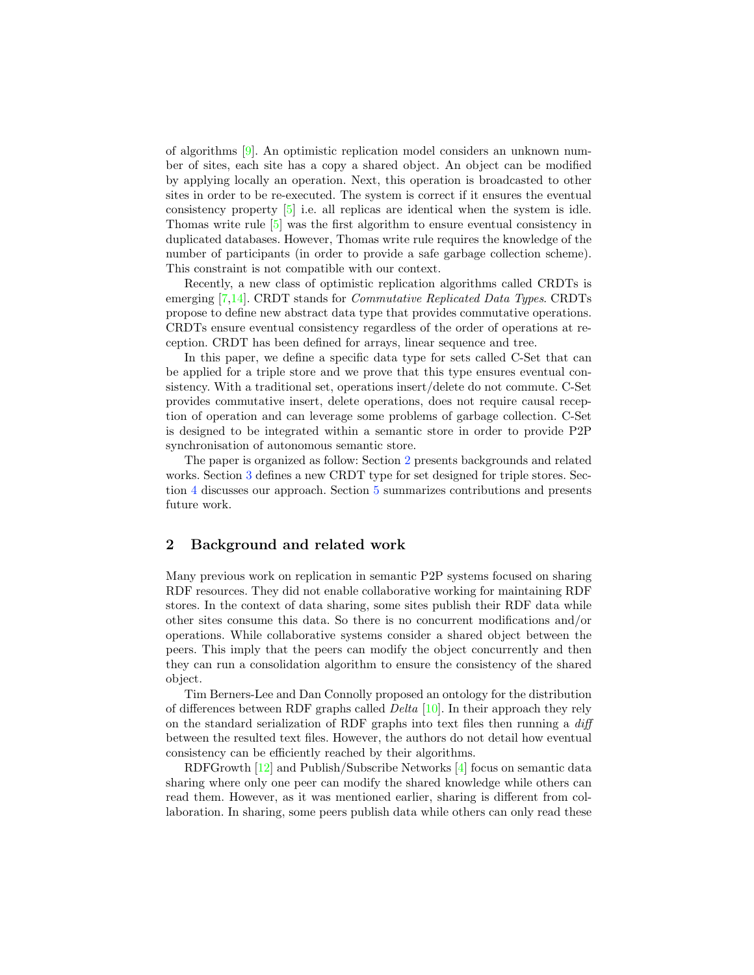of algorithms [\[9\]](#page-7-3). An optimistic replication model considers an unknown number of sites, each site has a copy a shared object. An object can be modified by applying locally an operation. Next, this operation is broadcasted to other sites in order to be re-executed. The system is correct if it ensures the eventual consistency property [\[5\]](#page-7-4) i.e. all replicas are identical when the system is idle. Thomas write rule [\[5\]](#page-7-4) was the first algorithm to ensure eventual consistency in duplicated databases. However, Thomas write rule requires the knowledge of the number of participants (in order to provide a safe garbage collection scheme). This constraint is not compatible with our context.

Recently, a new class of optimistic replication algorithms called CRDTs is emerging [\[7,](#page-7-5)[14\]](#page-7-6). CRDT stands for Commutative Replicated Data Types. CRDTs propose to define new abstract data type that provides commutative operations. CRDTs ensure eventual consistency regardless of the order of operations at reception. CRDT has been defined for arrays, linear sequence and tree.

In this paper, we define a specific data type for sets called C-Set that can be applied for a triple store and we prove that this type ensures eventual consistency. With a traditional set, operations insert/delete do not commute. C-Set provides commutative insert, delete operations, does not require causal reception of operation and can leverage some problems of garbage collection. C-Set is designed to be integrated within a semantic store in order to provide P2P synchronisation of autonomous semantic store.

The paper is organized as follow: Section [2](#page-1-0) presents backgrounds and related works. Section [3](#page-3-0) defines a new CRDT type for set designed for triple stores. Section [4](#page-6-0) discusses our approach. Section [5](#page-6-1) summarizes contributions and presents future work.

#### <span id="page-1-0"></span>2 Background and related work

Many previous work on replication in semantic P2P systems focused on sharing RDF resources. They did not enable collaborative working for maintaining RDF stores. In the context of data sharing, some sites publish their RDF data while other sites consume this data. So there is no concurrent modifications and/or operations. While collaborative systems consider a shared object between the peers. This imply that the peers can modify the object concurrently and then they can run a consolidation algorithm to ensure the consistency of the shared object.

Tim Berners-Lee and Dan Connolly proposed an ontology for the distribution of differences between RDF graphs called Delta [\[10\]](#page-7-0). In their approach they rely on the standard serialization of RDF graphs into text files then running a diff between the resulted text files. However, the authors do not detail how eventual consistency can be efficiently reached by their algorithms.

RDFGrowth [\[12\]](#page-7-7) and Publish/Subscribe Networks [\[4\]](#page-7-2) focus on semantic data sharing where only one peer can modify the shared knowledge while others can read them. However, as it was mentioned earlier, sharing is different from collaboration. In sharing, some peers publish data while others can only read these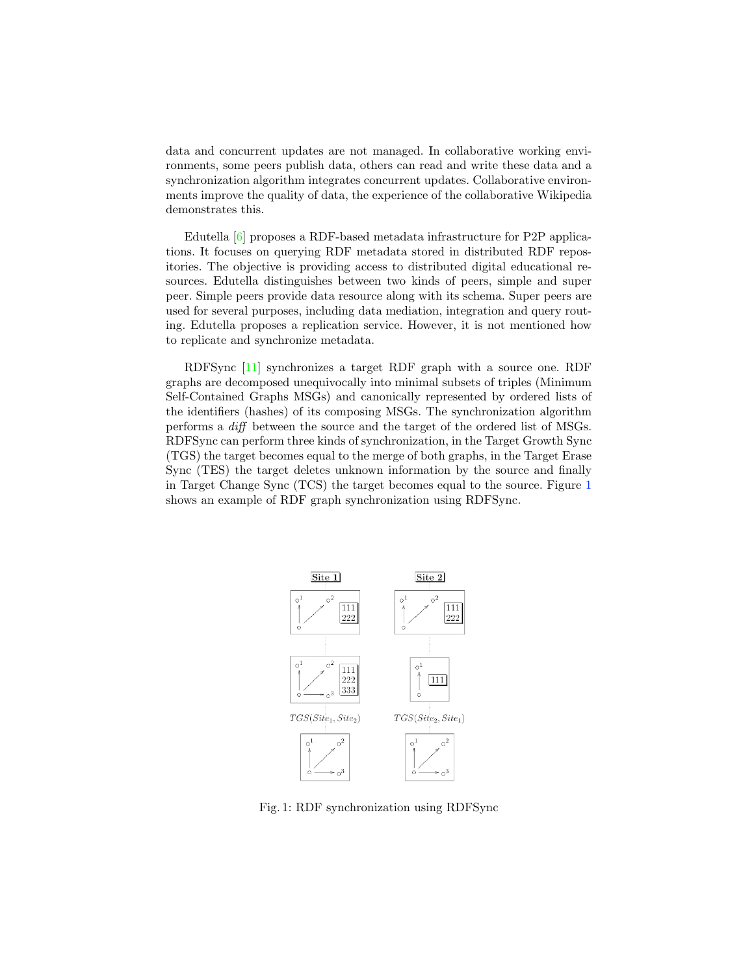data and concurrent updates are not managed. In collaborative working environments, some peers publish data, others can read and write these data and a synchronization algorithm integrates concurrent updates. Collaborative environments improve the quality of data, the experience of the collaborative Wikipedia demonstrates this.

Edutella [\[6\]](#page-7-8) proposes a RDF-based metadata infrastructure for P2P applications. It focuses on querying RDF metadata stored in distributed RDF repositories. The objective is providing access to distributed digital educational resources. Edutella distinguishes between two kinds of peers, simple and super peer. Simple peers provide data resource along with its schema. Super peers are used for several purposes, including data mediation, integration and query routing. Edutella proposes a replication service. However, it is not mentioned how to replicate and synchronize metadata.

RDFSync [\[11\]](#page-7-9) synchronizes a target RDF graph with a source one. RDF graphs are decomposed unequivocally into minimal subsets of triples (Minimum Self-Contained Graphs MSGs) and canonically represented by ordered lists of the identifiers (hashes) of its composing MSGs. The synchronization algorithm performs a diff between the source and the target of the ordered list of MSGs. RDFSync can perform three kinds of synchronization, in the Target Growth Sync (TGS) the target becomes equal to the merge of both graphs, in the Target Erase Sync (TES) the target deletes unknown information by the source and finally in Target Change Sync (TCS) the target becomes equal to the source. Figure [1](#page-2-0) shows an example of RDF graph synchronization using RDFSync.

<span id="page-2-0"></span>

Fig. 1: RDF synchronization using RDFSync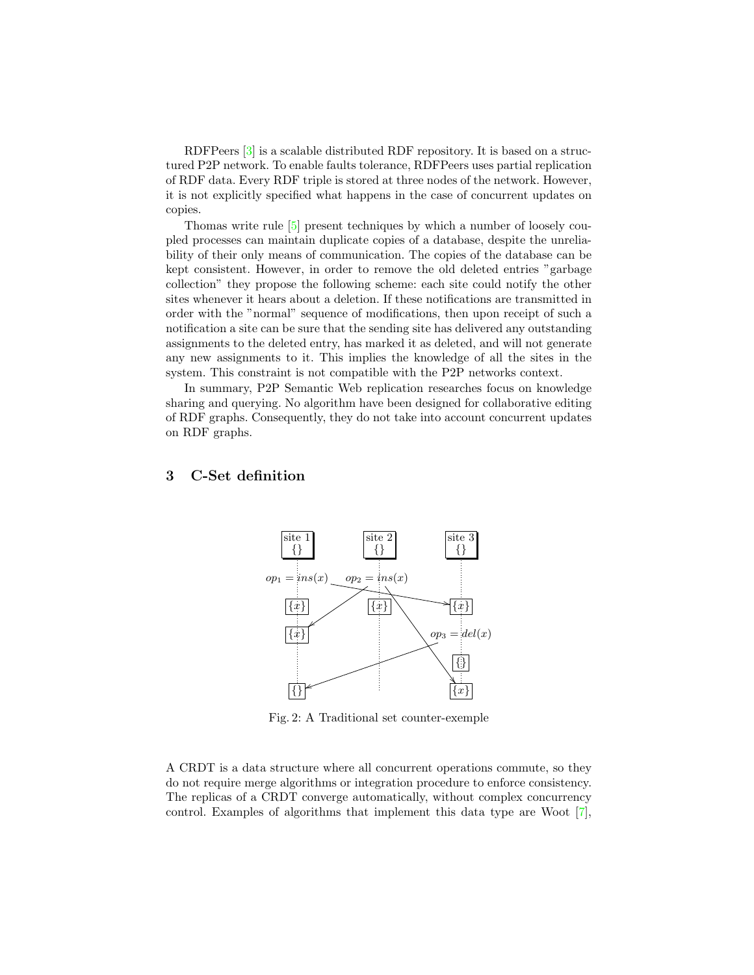RDFPeers [\[3\]](#page-7-10) is a scalable distributed RDF repository. It is based on a structured P2P network. To enable faults tolerance, RDFPeers uses partial replication of RDF data. Every RDF triple is stored at three nodes of the network. However, it is not explicitly specified what happens in the case of concurrent updates on copies.

Thomas write rule [\[5\]](#page-7-4) present techniques by which a number of loosely coupled processes can maintain duplicate copies of a database, despite the unreliability of their only means of communication. The copies of the database can be kept consistent. However, in order to remove the old deleted entries "garbage collection" they propose the following scheme: each site could notify the other sites whenever it hears about a deletion. If these notifications are transmitted in order with the "normal" sequence of modifications, then upon receipt of such a notification a site can be sure that the sending site has delivered any outstanding assignments to the deleted entry, has marked it as deleted, and will not generate any new assignments to it. This implies the knowledge of all the sites in the system. This constraint is not compatible with the P2P networks context.

In summary, P2P Semantic Web replication researches focus on knowledge sharing and querying. No algorithm have been designed for collaborative editing of RDF graphs. Consequently, they do not take into account concurrent updates on RDF graphs.

#### site 1 {} site 2 {} site 3 {}  $op_1 = ins(x)$ !  $op_2 = ins(x)$ " .<br>7  $\{x\}$   $\{x\}$   $\{x\}$  $op_3 = del(x)$  $\sf{I}$ {} {} {*x*}

#### <span id="page-3-1"></span><span id="page-3-0"></span>3 C-Set definition

Fig. 2: A Traditional set counter-exemple

A CRDT is a data structure where all concurrent operations commute, so they do not require merge algorithms or integration procedure to enforce consistency. The replicas of a CRDT converge automatically, without complex concurrency control. Examples of algorithms that implement this data type are Woot [\[7\]](#page-7-5),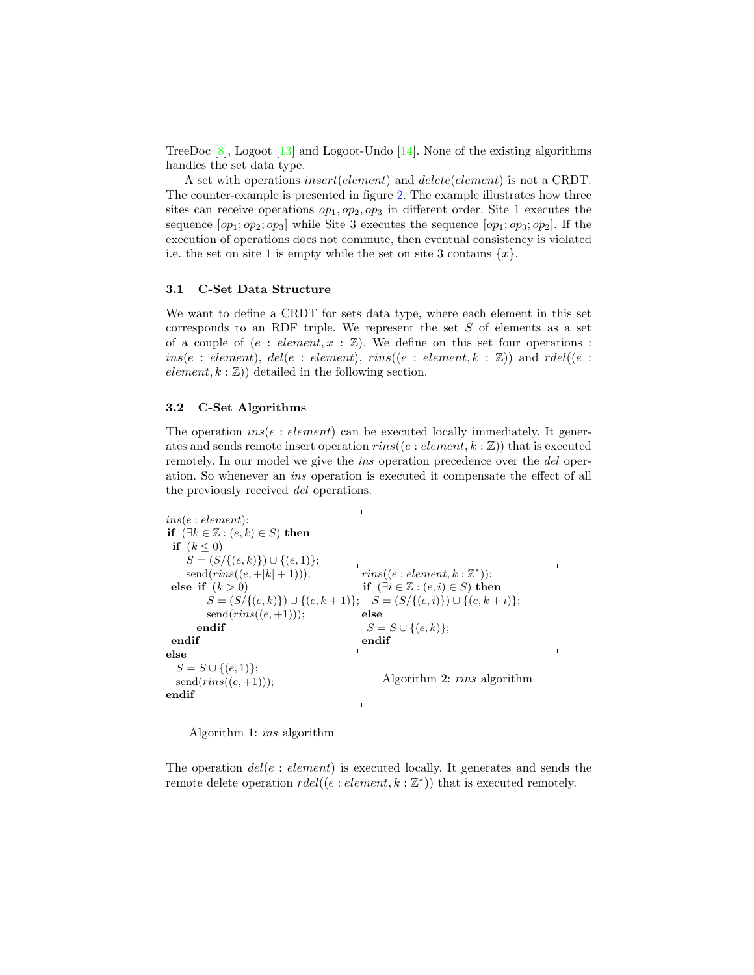TreeDoc [\[8\]](#page-7-11), Logoot [\[13\]](#page-7-12) and Logoot-Undo [\[14\]](#page-7-6). None of the existing algorithms handles the set data type.

A set with operations *insert*(*element*) and *delete*(*element*) is not a CRDT. The counter-example is presented in figure [2.](#page-3-1) The example illustrates how three sites can receive operations  $op_1, op_2, op_3$  in different order. Site 1 executes the sequence  $[op_1; op_2; op_3]$  while Site 3 executes the sequence  $[op_1; op_3; op_2]$ . If the execution of operations does not commute, then eventual consistency is violated i.e. the set on site 1 is empty while the set on site 3 contains {*x*}.

#### 3.1 C-Set Data Structure

We want to define a CRDT for sets data type, where each element in this set corresponds to an RDF triple. We represent the set *S* of elements as a set of a couple of  $(e : element, x : \mathbb{Z})$ . We define on this set four operations :  $ins(e : element)$ ,  $del(e : element)$ ,  $rins((e : element, k : \mathbb{Z}))$  and  $rdel((e :$  $element, k : \mathbb{Z})$  detailed in the following section.

#### 3.2 C-Set Algorithms

The operation *ins*(*e* : *element*) can be executed locally immediately. It generates and sends remote insert operation  $\text{rins}((e:element, k:\mathbb{Z}))$  that is executed remotely. In our model we give the *ins* operation precedence over the *del* operation. So whenever an ins operation is executed it compensate the effect of all the previously received del operations.

```
ins(e : element):
if (\exists k \in \mathbb{Z} : (e, k) \in S) then
 if (k \leq 0)S = (S/{(e, k)}) ∪ {(e, 1)};
    send(rins((e, +|k| + 1)));else if (k > 0)S = (S/{(e, k)}) ∪ {(e, k + 1)}; S = (S/{(e, i)}) ∪ {(e, k + i)};
         send(rins((e,+1)));endif
 endif
else
  S = S \cup \{(e, 1)\};send(rins((e,+1)));endif
                                           rins((e: element, k: \mathbb{Z}^*)):
                                           if (∃i ∈ ℤ : (e, i) ∈ S) then
                                           else
                                            S = S ∪ {(e, k)};
                                           endif
                                                Algorithm 2: rins algorithm
```
Algorithm 1: ins algorithm

The operation *del*(*e* : *element*) is executed locally. It generates and sends the remote delete operation *rdel*((*e* : *element, k* : Z∗)) that is executed remotely.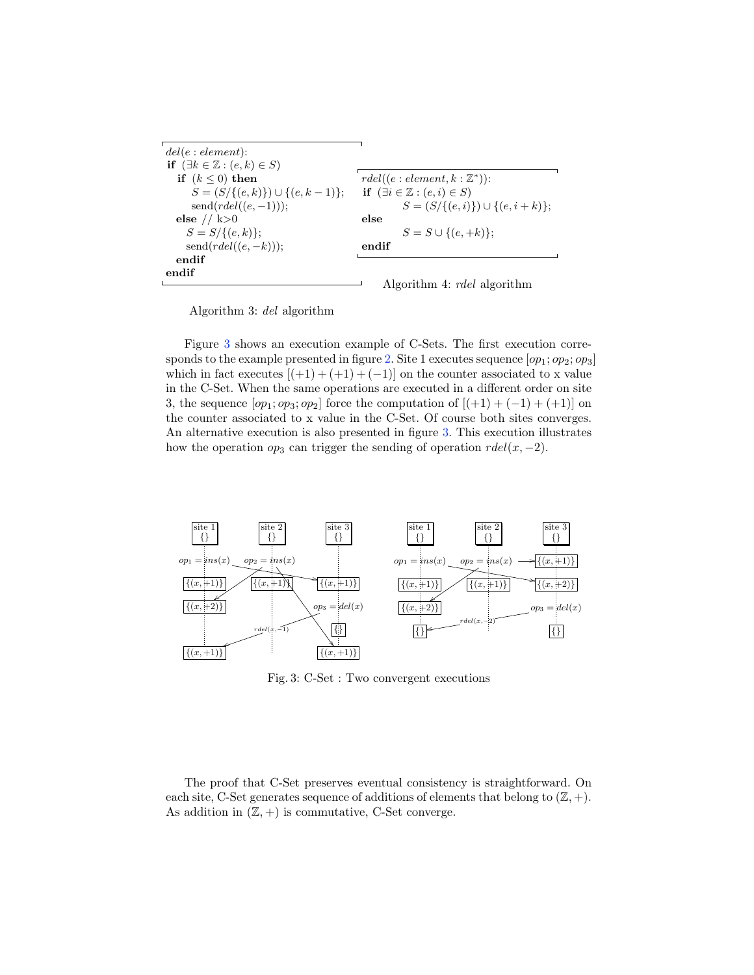| del(e: element):                              |                                                |
|-----------------------------------------------|------------------------------------------------|
| if $(\exists k \in \mathbb{Z} : (e,k) \in S)$ |                                                |
| if $(k \leq 0)$ then                          | $rdel((e:element, k: \mathbb{Z}^*))$ :         |
| $S = (S/\{(e,k)\}) \cup \{(e,k-1)\};$         | if $(\exists i \in \mathbb{Z} : (e, i) \in S)$ |
| $send(rdel((e,-1)));$                         | $S = (S/{\{(e,i)\}}) \cup {\{(e,i+k)\}};$      |
| else // $k>0$                                 | else                                           |
| $S = S/\{(e,k)\};$                            | $S = S \cup \{(e, +k)\};$                      |
| $send(rdel((e, -k)));$                        | endif                                          |
| endif                                         |                                                |
| endif                                         |                                                |
|                                               | Algorithm 4: <i>rdel</i> algorithm             |

Algorithm 3: del algorithm

Figure [3](#page-5-0) shows an execution example of C-Sets. The first execution corre-sponds to the example presented in figure [2.](#page-3-1) Site 1 executes sequence  $[op_1; op_2; op_3]$ which in fact executes  $[(+1) + (+1) + (-1)]$  on the counter associated to x value in the C-Set. When the same operations are executed in a different order on site 3, the sequence  $[op_1; op_3; op_2]$  force the computation of  $[ (+1) + (-1) + (+1)]$  on the counter associated to x value in the C-Set. Of course both sites converges. An alternative execution is also presented in figure [3.](#page-5-0) This execution illustrates how the operation  $op_3$  can trigger the sending of operation  $rdel(x, -2)$ .

<span id="page-5-0"></span>

Fig. 3: C-Set : Two convergent executions

The proof that C-Set preserves eventual consistency is straightforward. On each site, C-Set generates sequence of additions of elements that belong to  $(\mathbb{Z}, +)$ . As addition in  $(\mathbb{Z}, +)$  is commutative, C-Set converge.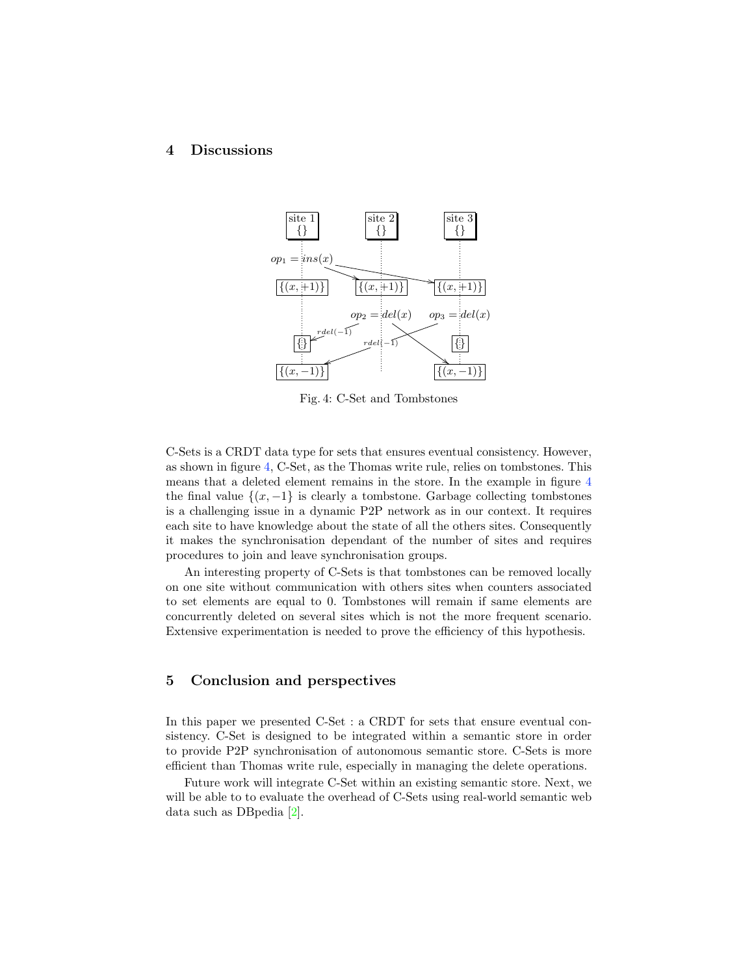## <span id="page-6-2"></span><span id="page-6-0"></span>4 Discussions



Fig. 4: C-Set and Tombstones

C-Sets is a CRDT data type for sets that ensures eventual consistency. However, as shown in figure [4,](#page-6-2) C-Set, as the Thomas write rule, relies on tombstones. This means that a deleted element remains in the store. In the example in figure [4](#page-6-2) the final value  $\{(x, -1)\}$  is clearly a tombstone. Garbage collecting tombstones is a challenging issue in a dynamic P2P network as in our context. It requires each site to have knowledge about the state of all the others sites. Consequently it makes the synchronisation dependant of the number of sites and requires procedures to join and leave synchronisation groups.

An interesting property of C-Sets is that tombstones can be removed locally on one site without communication with others sites when counters associated to set elements are equal to 0. Tombstones will remain if same elements are concurrently deleted on several sites which is not the more frequent scenario. Extensive experimentation is needed to prove the efficiency of this hypothesis.

# <span id="page-6-1"></span>5 Conclusion and perspectives

In this paper we presented C-Set : a CRDT for sets that ensure eventual consistency. C-Set is designed to be integrated within a semantic store in order to provide P2P synchronisation of autonomous semantic store. C-Sets is more efficient than Thomas write rule, especially in managing the delete operations.

Future work will integrate C-Set within an existing semantic store. Next, we will be able to to evaluate the overhead of C-Sets using real-world semantic web data such as DBpedia [\[2\]](#page-7-13).